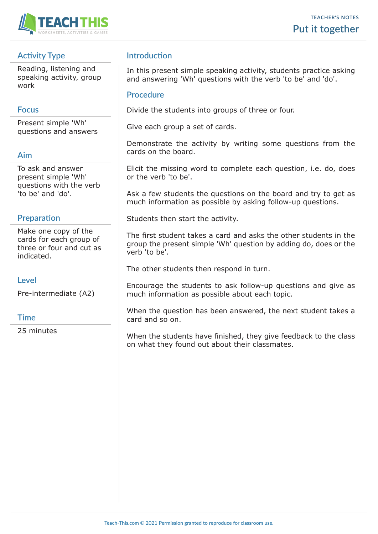

# **Activity Type**

Reading, listening and speaking activity, group work

## **Focus**

Present simple 'Wh' questions and answers

# **Aim**

To ask and answer present simple 'Wh' questions with the verb 'to be' and 'do'.

### **Preparation**

Make one copy of the cards for each group of three or four and cut as indicated.

### **Level**

Pre-intermediate (A2)

### **Time**

25 minutes

# **Introduction**

In this present simple speaking activity, students practice asking and answering 'Wh' questions with the verb 'to be' and 'do'.

### **Procedure**

Divide the students into groups of three or four.

Give each group a set of cards.

Demonstrate the activity by writing some questions from the cards on the board.

Elicit the missing word to complete each question, i.e. do, does or the verb 'to be'.

Ask a few students the questions on the board and try to get as much information as possible by asking follow-up questions.

Students then start the activity.

The first student takes a card and asks the other students in the group the present simple 'Wh' question by adding do, does or the verb 'to be'.

The other students then respond in turn.

Encourage the students to ask follow-up questions and give as much information as possible about each topic.

When the question has been answered, the next student takes a card and so on.

When the students have finished, they give feedback to the class on what they found out about their classmates.